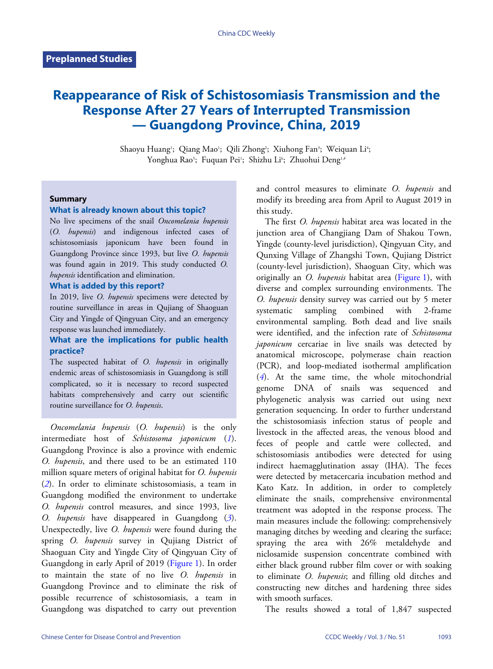# **Reappearance of Risk of Schistosomiasis Transmission and the Response After 27 Years of Interrupted Transmission — Guangdong Province, China, 2019**

Shaoyu Huang<sup>1</sup>; Qiang Mao<sup>1</sup>; Qili Zhong<sup>2</sup>; Xiuhong Fan<sup>3</sup>; Weiquan Li<sup>4</sup>; Yonghua Rao<sup>s</sup>; Fuquan Pei<sup>1</sup>; Shizhu Li<sup>6</sup>; Zhuohui Deng<sup>1,4</sup>

#### **Summary**

### **What is already known about this topic?**

No live specimens of the snail *Oncomelania hupensis* (*O. hupensis*) and indigenous infected cases of schistosomiasis japonicum have been found in Guangdong Province since 1993, but live *O. hupensis* was found again in 2019. This study conducted *O. hupensis* identification and elimination.

#### **What is added by this report?**

In 2019, live *O. hupensis* specimens were detected by routine surveillance in areas in Qujiang of Shaoguan City and Yingde of Qingyuan City, and an emergency response was launched immediately.

## **What are the implications for public health practice?**

The suspected habitat of *O. hupensis* in originally endemic areas of schistosomiasis in Guangdong is still complicated, so it is necessary to record suspected habitats comprehensively and carry out scientific routine surveillance for *O. hupensis*.

*Oncomelania hupensis* (*O. hupensis*) is the only intermediate host of *Schistosoma japonicum* (*[1](#page-4-0)*). Guangdong Province is also a province with endemic *O. hupensis*, and there used to be an estimated 110 [mi](#page-4-1)llion square meters of original habitat for *O. hupensis* (*[2](#page-4-1)*). In order to eliminate schistosomiasis, a team in Guangdong modified the environment to undertake *O. hupensis* control measures, and since 1993, l[iv](#page-4-2)e *O. hupensis* have disappeared in Guangdong (*[3](#page-4-2)*). Unexpectedly, live *O. hupensis* were found during the spring *O. hupensis* survey in Qujiang District of Shaoguan City and Yingde City of [Qingyua](#page-1-0)n City of Guangdong in early April of 2019 ([Figure 1\)](#page-1-0). In order to maintain the state of no live *O. hupensis* in Guangdong Province and to eliminate the risk of possible recurrence of schistosomiasis, a team in Guangdong was dispatched to carry out prevention

and control measures to eliminate *O. hupensis* and modify its breeding area from April to August 2019 in this study.

The first *O. hupensis* habitat area was located in the junction area of Changjiang Dam of Shakou Town, Yingde (county-level jurisdiction), Qingyuan City, and Qunxing Village of Zhangshi Town, Qujiang District (county-level jurisdiction), Shaoguan City, which was originally an *O. hupensis* habitat area ([Figure 1](#page-1-0)), with diverse and complex surrounding environments. The *O. hupensis* density survey was carried out by 5 meter systematic sampling combined with 2-frame environmental sampling. Both dead and live snails were identified, and the infection rate of *Schistosoma japonicum* cercariae in live snails was detected by anatomical microscope, polymerase chain reaction [\(P](#page-4-3)CR), and loop-mediated isothermal amplification (*[4](#page-4-3)*). At the same time, the whole mitochondrial genome DNA of snails was sequenced and phylogenetic analysis was carried out using next generation sequencing. In order to further understand the schistosomiasis infection status of people and livestock in the affected areas, the venous blood and feces of people and cattle were collected, and schistosomiasis antibodies were detected for using indirect haemagglutination assay (IHA). The feces were detected by metacercaria incubation method and Kato Katz. In addition, in order to completely eliminate the snails, comprehensive environmental treatment was adopted in the response process. The main measures include the following: comprehensively managing ditches by weeding and clearing the surface; spraying the area with 26% metaldehyde and niclosamide suspension concentrate combined with either black ground rubber film cover or with soaking to eliminate *O. hupensis*; and filling old ditches and constructing new ditches and hardening three sides with smooth surfaces.

The results showed a total of 1,847 suspected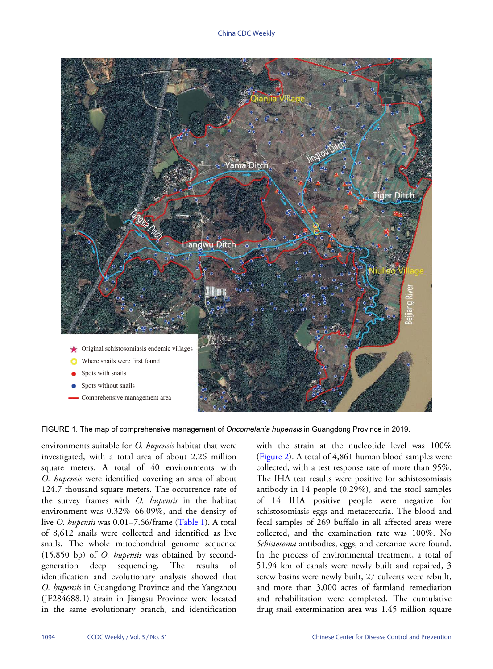<span id="page-1-0"></span>

FIGURE 1. The map of comprehensive management of *Oncomelania hupensis* in Guangdong Province in 2019.

environments suitable for *O. hupensis* habitat that were investigated, with a total area of about 2.26 million square meters. A total of 40 environments with *O. hupensis* were identified covering an area of about 124.7 thousand square meters. The occurrence rate of the survey frames with *O. hupensis* in the habitat environment was 0.32%−66.09%, and the density of live *O. hupensis* was 0.01−7.66/frame ([Table 1](#page-2-0)). A total of 8,612 snails were collected and identified as live snails. The whole mitochondrial genome sequence (15,850 bp) of *O. hupensis* was obtained by secondgeneration deep sequencing. The results of identification and evolutionary analysis showed that *O. hupensis* in Guangdong Province and the Yangzhou (JF284688.1) strain in Jiangsu Province were located in the same evolutionary branch, and identification

with the strain at the nucleotide level was 100% [\(Figure 2\)](#page-3-0). A total of 4,861 human blood samples were collected, with a test response rate of more than 95%. The IHA test results were positive for schistosomiasis antibody in 14 people (0.29%), and the stool samples of 14 IHA positive people were negative for schistosomiasis eggs and metacercaria. The blood and fecal samples of 269 buffalo in all affected areas were collected, and the examination rate was 100%. No *Schistosoma* antibodies, eggs, and cercariae were found. In the process of environmental treatment, a total of 51.94 km of canals were newly built and repaired, 3 screw basins were newly built, 27 culverts were rebuilt, and more than 3,000 acres of farmland remediation and rehabilitation were completed. The cumulative Original schistosomiasis endemic villages<br>
Spots without snails<br>
Spots without snails<br>
Spots without snails<br>
Spots without snails<br>
Comprehensive management area<br>
The map of comprehensive management of Oncomelania hupens i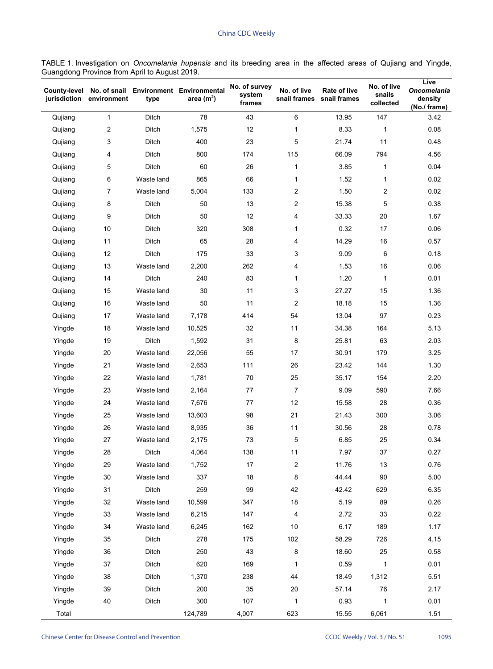<span id="page-2-0"></span>TABLE 1. Investigation on *Oncomelania hupensis* and its breeding area in the affected areas of Qujiang and Yingde, Guangdong Province from April to August 2019.

| <b>County-level</b><br>jurisdiction | environment             | type       | No. of snail Environment Environmental<br>area $(m2)$ | No. of survey<br>system<br>frames | No. of live<br>snail frames | Rate of live<br>snail frames | No. of live<br>snails<br>collected | Live<br><b>Oncomelania</b><br>density<br>(No./ frame) |
|-------------------------------------|-------------------------|------------|-------------------------------------------------------|-----------------------------------|-----------------------------|------------------------------|------------------------------------|-------------------------------------------------------|
| Qujiang                             | 1                       | Ditch      | 78                                                    | 43                                | 6                           | 13.95                        | 147                                | 3.42                                                  |
| Qujiang                             | $\overline{\mathbf{c}}$ | Ditch      | 1,575                                                 | 12                                | 1                           | 8.33                         | 1                                  | 0.08                                                  |
| Qujiang                             | 3                       | Ditch      | 400                                                   | 23                                | 5                           | 21.74                        | 11                                 | 0.48                                                  |
| Qujiang                             | 4                       | Ditch      | 800                                                   | 174                               | 115                         | 66.09                        | 794                                | 4.56                                                  |
| Qujiang                             | 5                       | Ditch      | 60                                                    | 26                                | 1                           | 3.85                         | 1                                  | 0.04                                                  |
| Qujiang                             | 6                       | Waste land | 865                                                   | 66                                | 1                           | 1.52                         | 1                                  | 0.02                                                  |
| Qujiang                             | 7                       | Waste land | 5,004                                                 | 133                               | $\overline{c}$              | 1.50                         | 2                                  | 0.02                                                  |
| Qujiang                             | 8                       | Ditch      | 50                                                    | 13                                | $\overline{c}$              | 15.38                        | 5                                  | 0.38                                                  |
| Qujiang                             | 9                       | Ditch      | 50                                                    | 12                                | 4                           | 33.33                        | 20                                 | 1.67                                                  |
| Qujiang                             | 10                      | Ditch      | 320                                                   | 308                               | 1                           | 0.32                         | 17                                 | 0.06                                                  |
| Qujiang                             | 11                      | Ditch      | 65                                                    | 28                                | 4                           | 14.29                        | 16                                 | 0.57                                                  |
| Qujiang                             | 12                      | Ditch      | 175                                                   | 33                                | 3                           | 9.09                         | 6                                  | 0.18                                                  |
| Qujiang                             | 13                      | Waste land | 2,200                                                 | 262                               | 4                           | 1.53                         | 16                                 | 0.06                                                  |
| Qujiang                             | 14                      | Ditch      | 240                                                   | 83                                | 1                           | 1.20                         | 1                                  | 0.01                                                  |
| Qujiang                             | 15                      | Waste land | 30                                                    | 11                                | 3                           | 27.27                        | 15                                 | 1.36                                                  |
| Qujiang                             | 16                      | Waste land | 50                                                    | 11                                | $\overline{\mathbf{c}}$     | 18.18                        | 15                                 | 1.36                                                  |
| Qujiang                             | 17                      | Waste land | 7,178                                                 | 414                               | 54                          | 13.04                        | 97                                 | 0.23                                                  |
| Yingde                              | 18                      | Waste land | 10,525                                                | 32                                | 11                          | 34.38                        | 164                                | 5.13                                                  |
| Yingde                              | 19                      | Ditch      | 1,592                                                 | 31                                | 8                           | 25.81                        | 63                                 | 2.03                                                  |
| Yingde                              | 20                      | Waste land | 22,056                                                | 55                                | 17                          | 30.91                        | 179                                | 3.25                                                  |
| Yingde                              | 21                      | Waste land | 2,653                                                 | 111                               | 26                          | 23.42                        | 144                                | 1.30                                                  |
| Yingde                              | 22                      | Waste land | 1,781                                                 | 70                                | 25                          | 35.17                        | 154                                | 2.20                                                  |
| Yingde                              | 23                      | Waste land | 2,164                                                 | 77                                | 7                           | 9.09                         | 590                                | 7.66                                                  |
| Yingde                              | 24                      | Waste land | 7,676                                                 | 77                                | 12                          | 15.58                        | 28                                 | 0.36                                                  |
| Yingde                              | 25                      | Waste land | 13,603                                                | 98                                | 21                          | 21.43                        | 300                                | 3.06                                                  |
| Yingde                              | 26                      | Waste land | 8,935                                                 | 36                                | 11                          | 30.56                        | 28                                 | 0.78                                                  |
| Yingde                              | 27                      | Waste land | 2,175                                                 | 73                                | 5                           | 6.85                         | 25                                 | 0.34                                                  |
| Yingde                              | 28                      | Ditch      | 4,064                                                 | 138                               | 11                          | 7.97                         | 37                                 | 0.27                                                  |
| Yingde                              | 29                      | Waste land | 1,752                                                 | 17                                | $\boldsymbol{2}$            | 11.76                        | 13                                 | 0.76                                                  |
| Yingde                              | 30                      | Waste land | 337                                                   | 18                                | 8                           | 44.44                        | 90                                 | 5.00                                                  |
| Yingde                              | 31                      | Ditch      | 259                                                   | 99                                | 42                          | 42.42                        | 629                                | 6.35                                                  |
| Yingde                              | 32                      | Waste land | 10,599                                                | 347                               | 18                          | 5.19                         | 89                                 | 0.26                                                  |
| Yingde                              | 33                      | Waste land | 6,215                                                 | 147                               | 4                           | 2.72                         | 33                                 | 0.22                                                  |
| Yingde                              | 34                      | Waste land | 6,245                                                 | 162                               | 10                          | 6.17                         | 189                                | 1.17                                                  |
| Yingde                              | 35                      | Ditch      | 278                                                   | 175                               | 102                         | 58.29                        | 726                                | 4.15                                                  |
| Yingde                              | 36                      | Ditch      | 250                                                   | 43                                | 8                           | 18.60                        | 25                                 | 0.58                                                  |
| Yingde                              | 37                      | Ditch      | 620                                                   | 169                               | 1                           | 0.59                         | 1                                  | 0.01                                                  |
| Yingde                              | 38                      | Ditch      | 1,370                                                 | 238                               | 44                          | 18.49                        | 1,312                              | 5.51                                                  |
| Yingde                              | 39                      | Ditch      | 200                                                   | 35                                | $20\,$                      | 57.14                        | 76                                 | 2.17                                                  |
| Yingde                              | 40                      | Ditch      | 300                                                   | 107                               | 1                           | 0.93                         | 1                                  | 0.01                                                  |
| Total                               |                         |            | 124,789                                               | 4,007                             | 623                         | 15.55                        | 6,061                              | 1.51                                                  |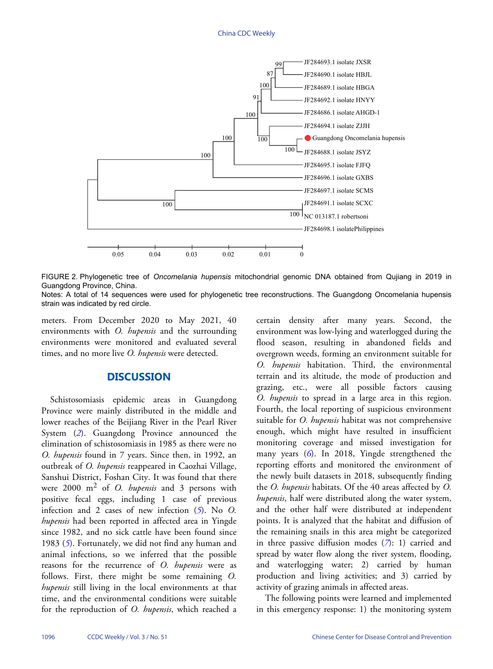<span id="page-3-0"></span>

FIGURE 2. Phylogenetic tree of *Oncomelania hupensis* mitochondrial genomic DNA obtained from Qujiang in 2019 in Guangdong Province, China.

Notes: A total of 14 sequences were used for phylogenetic tree reconstructions. The Guangdong Oncomelania hupensis strain was indicated by red circle.

meters. From December 2020 to May 2021, 40 environments with *O. hupensis* and the surrounding environments were monitored and evaluated several times, and no more live *O. hupensis* were detected.

## **DISCUSSION**

Schistosomiasis epidemic areas in Guangdong Province were mainly distributed in the middle and lower reaches of the Beijiang River in the Pearl River System (*[2](#page-4-1)*). Guangdong Province announced the elimination of schistosomiasis in 1985 as there were no *O. hupensis* found in 7 years. Since then, in 1992, an outbreak of *O. hupensis* reappeared in Caozhai Village, Sanshui District, Foshan City. It was found that there were 2000 m<sup>2</sup> of *O. hupensis* and 3 persons with positive fecal eggs, including 1 case [of](#page-4-4) previous infection and 2 cases of new infection (*[5](#page-4-4)*). No *O. hupensis* had been reported in affected area in Yingde since [19](#page-4-4)82, and no sick cattle have been found since 1983 (*[5](#page-4-4)*). Fortunately, we did not find any human and animal infections, so we inferred that the possible reasons for the recurrence of *O. hupensis* were as follows. First, there might be some remaining *O. hupensis* still living in the local environments at that time, and the environmental conditions were suitable for the reproduction of *O. hupensis*, which reached a

certain density after many years. Second, the environment was low-lying and waterlogged during the flood season, resulting in abandoned fields and overgrown weeds, forming an environment suitable for *O. hupensis* habitation. Third, the environmental terrain and its altitude, the mode of production and grazing, etc., were all possible factors causing *O. hupensis* to spread in a large area in this region. Fourth, the local reporting of suspicious environment suitable for *O. hupensis* habitat was not comprehensive enough, which might have resulted in insufficient monitoring [cov](#page-4-5)erage and missed investigation for many years (*[6](#page-4-5)*). In 2018, Yingde strengthened the reporting efforts and monitored the environment of the newly built datasets in 2018, subsequently finding the *O. hupensis* habitats. Of the 40 areas affected by *O. hupensis*, half were distributed along the water system, and the other half were distributed at independent points. It is analyzed that the habitat and diffusion of the remaining snails in this area m[ig](#page-4-6)ht be categorized in three passive diffusion modes  $(7)$  $(7)$  $(7)$ : 1) carried and spread by water flow along the river system, flooding, and waterlogging water; 2) carried by human production and living activities; and 3) carried by activity of grazing animals in affected areas.

The following points were learned and implemented in this emergency response: 1) the monitoring system